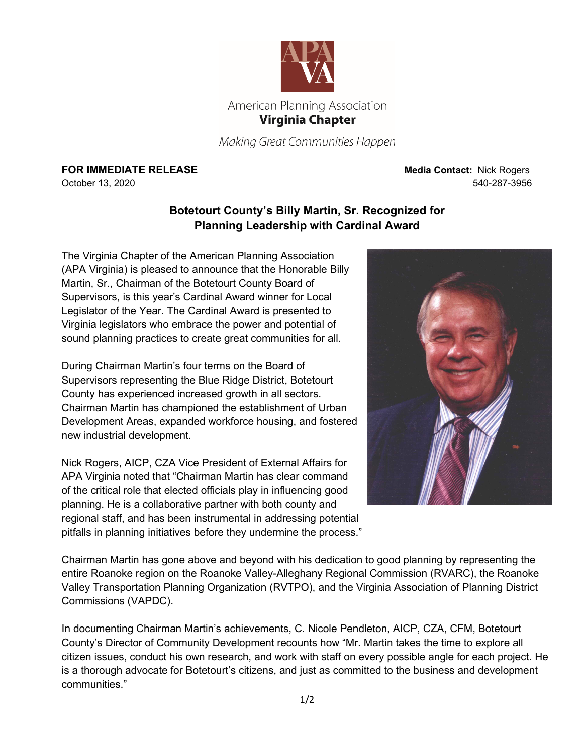

Making Great Communities Happen

**FOR IMMEDIATE RELEASE Media Contact:** Nick Rogers

October 13, 2020 540-287-3956

## **Botetourt County's Billy Martin, Sr. Recognized for Planning Leadership with Cardinal Award**

The Virginia Chapter of the American Planning Association (APA Virginia) is pleased to announce that the Honorable Billy Martin, Sr., Chairman of the Botetourt County Board of Supervisors, is this year's Cardinal Award winner for Local Legislator of the Year. The Cardinal Award is presented to Virginia legislators who embrace the power and potential of sound planning practices to create great communities for all.

During Chairman Martin's four terms on the Board of Supervisors representing the Blue Ridge District, Botetourt County has experienced increased growth in all sectors. Chairman Martin has championed the establishment of Urban Development Areas, expanded workforce housing, and fostered new industrial development.

Nick Rogers, AICP, CZA Vice President of External Affairs for APA Virginia noted that "Chairman Martin has clear command of the critical role that elected officials play in influencing good planning. He is a collaborative partner with both county and regional staff, and has been instrumental in addressing potential pitfalls in planning initiatives before they undermine the process."



Chairman Martin has gone above and beyond with his dedication to good planning by representing the entire Roanoke region on the Roanoke Valley-Alleghany Regional Commission (RVARC), the Roanoke Valley Transportation Planning Organization (RVTPO), and the Virginia Association of Planning District Commissions (VAPDC).

In documenting Chairman Martin's achievements, C. Nicole Pendleton, AICP, CZA, CFM, Botetourt County's Director of Community Development recounts how "Mr. Martin takes the time to explore all citizen issues, conduct his own research, and work with staff on every possible angle for each project. He is a thorough advocate for Botetourt's citizens, and just as committed to the business and development communities."